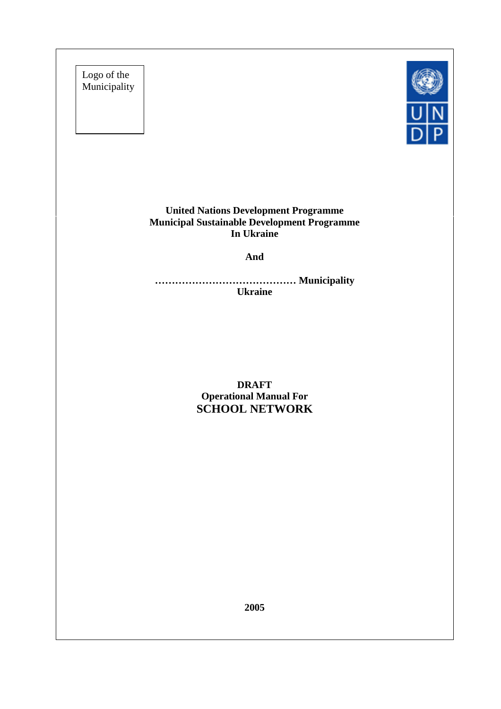Logo of the Municipality



**United Nations Development Programme Municipal Sustainable Development Programme In Ukraine**

**And**

**…………………………………… Municipality Ukraine**

> **DRAFT Operational Manual For SCHOOL NETWORK**

> > **2005**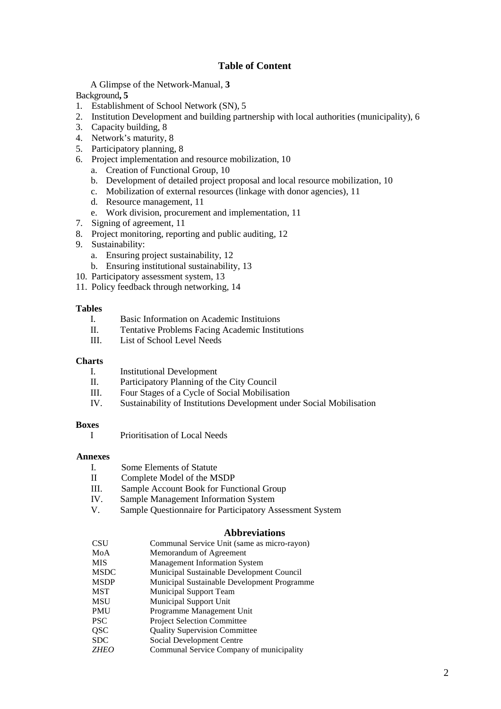#### **Table of Content**

A Glimpse of the Network-Manual, **3**

Background**, 5**

- 1. Establishment of School Network (SN), 5
- 2. Institution Development and building partnership with local authorities (municipality), 6
- 3. Capacity building, 8
- 4. Network's maturity, 8
- 5. Participatory planning, 8
- 6. Project implementation and resource mobilization, 10
	- a. Creation of Functional Group, 10
	- b. Development of detailed project proposal and local resource mobilization, 10
	- c. Mobilization of external resources (linkage with donor agencies), 11
	- d. Resource management, 11
	- e. Work division, procurement and implementation, 11
- 7. Signing of agreement, 11
- 8. Project monitoring, reporting and public auditing, 12
- 9. Sustainability:
	- a. Ensuring project sustainability, 12
	- b. Ensuring institutional sustainability, 13
- 10. Participatory assessment system, 13
- 11. Policy feedback through networking, 14

#### **Tables**

- I. Basic Information on Academic Instituions
- II. Tentative Problems Facing Academic Institutions
- III. List of School Level Needs

#### **Charts**

- I. Institutional Development
- II. Participatory Planning of the City Council
- III. Four Stages of a Cycle of Social Mobilisation
- IV. Sustainability of Institutions Development under Social Mobilisation

#### **Boxes**

I Prioritisation of Local Needs

#### **Annexes**

- I. Some Elements of Statute
- II Complete Model of the MSDP
- III. Sample Account Book for Functional Group
- IV. Sample Management Information System
- V. Sample Questionnaire for Participatory Assessment System

#### **Abbreviations**

CSU Communal Service Unit (same as micro-rayon) MoA Memorandum of Agreement MIS Management Information System MSDC Municipal Sustainable Development Council MSDP Municipal Sustainable Development Programme MST Municipal Support Team MSU Municipal Support Unit PMU Programme Management Unit PSC Project Selection Committee QSC Quality Supervision Committee SDC Social Development Centre *ZHEO* Communal Service Company of municipality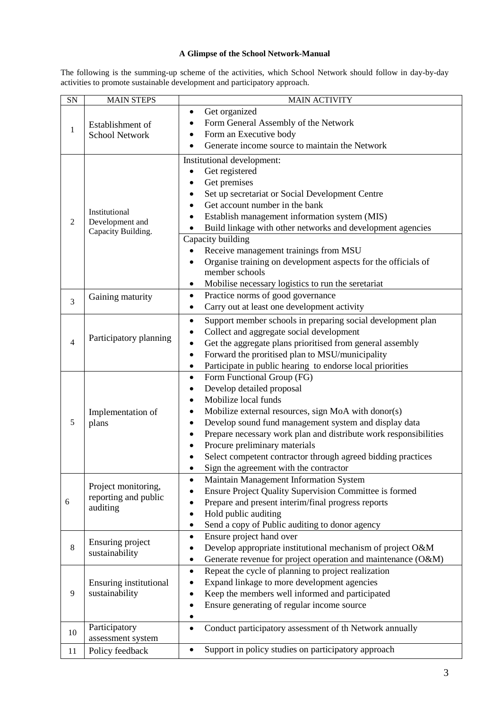#### **A Glimpse of the School Network-Manual**

The following is the summing-up scheme of the activities, which School Network should follow in day-by-day activities to promote sustainable development and participatory approach.

| SN                       | <b>MAIN STEPS</b>             | <b>MAIN ACTIVITY</b>                                                            |
|--------------------------|-------------------------------|---------------------------------------------------------------------------------|
|                          |                               | Get organized<br>$\bullet$                                                      |
|                          | Establishment of              | Form General Assembly of the Network                                            |
| $\mathbf{1}$             | <b>School Network</b>         | Form an Executive body                                                          |
|                          |                               | Generate income source to maintain the Network                                  |
|                          |                               | Institutional development:                                                      |
|                          |                               | Get registered                                                                  |
|                          |                               | Get premises                                                                    |
|                          |                               | Set up secretariat or Social Development Centre                                 |
|                          |                               | Get account number in the bank                                                  |
|                          | Institutional                 | Establish management information system (MIS)                                   |
| $\overline{c}$           | Development and               | Build linkage with other networks and development agencies<br>$\bullet$         |
|                          | Capacity Building.            | Capacity building                                                               |
|                          |                               |                                                                                 |
|                          |                               | Receive management trainings from MSU                                           |
|                          |                               | Organise training on development aspects for the officials of<br>member schools |
|                          |                               | Mobilise necessary logistics to run the seretariat<br>٠                         |
|                          |                               | Practice norms of good governance<br>٠                                          |
| 3                        | Gaining maturity              | Carry out at least one development activity<br>$\bullet$                        |
|                          |                               |                                                                                 |
|                          |                               | Support member schools in preparing social development plan<br>$\bullet$        |
|                          | Participatory planning        | Collect and aggregate social development<br>$\bullet$                           |
| $\overline{\mathcal{A}}$ |                               | Get the aggregate plans prioritised from general assembly<br>$\bullet$          |
|                          |                               | Forward the proritised plan to MSU/municipality<br>$\bullet$                    |
|                          |                               | Participate in public hearing to endorse local priorities<br>$\bullet$          |
|                          |                               | Form Functional Group (FG)<br>٠                                                 |
|                          |                               | Develop detailed proposal                                                       |
|                          |                               | Mobilize local funds                                                            |
|                          | Implementation of             | Mobilize external resources, sign MoA with donor(s)                             |
| 5                        | plans                         | Develop sound fund management system and display data<br>$\bullet$              |
|                          |                               | Prepare necessary work plan and distribute work responsibilities                |
|                          |                               | Procure preliminary materials                                                   |
|                          |                               | Select competent contractor through agreed bidding practices                    |
|                          |                               | Sign the agreement with the contractor                                          |
|                          | Project monitoring,           | Maintain Management Information System<br>$\bullet$                             |
|                          | reporting and public          | Ensure Project Quality Supervision Committee is formed                          |
| 6                        | auditing                      | Prepare and present interim/final progress reports                              |
|                          |                               | Hold public auditing<br>$\bullet$                                               |
|                          |                               | Send a copy of Public auditing to donor agency                                  |
| 8                        | Ensuring project              | Ensure project hand over<br>$\bullet$                                           |
|                          | sustainability                | Develop appropriate institutional mechanism of project O&M                      |
|                          |                               | Generate revenue for project operation and maintenance (O&M)                    |
|                          |                               | Repeat the cycle of planning to project realization                             |
| 9                        | <b>Ensuring institutional</b> | Expand linkage to more development agencies<br>٠                                |
|                          | sustainability                | Keep the members well informed and participated                                 |
|                          |                               | Ensure generating of regular income source                                      |
|                          | Participatory                 |                                                                                 |
| 10                       | assessment system             | Conduct participatory assessment of th Network annually<br>$\bullet$            |
|                          |                               | Support in policy studies on participatory approach<br>$\bullet$                |
| 11                       | Policy feedback               |                                                                                 |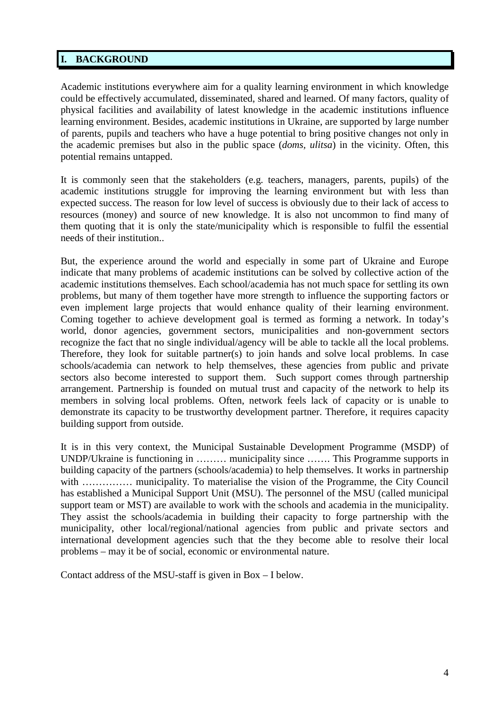# **I. BACKGROUND**

Academic institutions everywhere aim for a quality learning environment in which knowledge could be effectively accumulated, disseminated, shared and learned. Of many factors, quality of physical facilities and availability of latest knowledge in the academic institutions influence learning environment. Besides, academic institutions in Ukraine, are supported by large number of parents, pupils and teachers who have a huge potential to bring positive changes not only in the academic premises but also in the public space (*doms, ulitsa*) in the vicinity. Often, this potential remains untapped.

It is commonly seen that the stakeholders (e.g. teachers, managers, parents, pupils) of the academic institutions struggle for improving the learning environment but with less than expected success. The reason for low level of success is obviously due to their lack of access to resources (money) and source of new knowledge. It is also not uncommon to find many of them quoting that it is only the state/municipality which is responsible to fulfil the essential needs of their institution..

But, the experience around the world and especially in some part of Ukraine and Europe indicate that many problems of academic institutions can be solved by collective action of the academic institutions themselves. Each school/academia has not much space for settling its own problems, but many of them together have more strength to influence the supporting factors or even implement large projects that would enhance quality of their learning environment. Coming together to achieve development goal is termed as forming a network. In today's world, donor agencies, government sectors, municipalities and non-government sectors recognize the fact that no single individual/agency will be able to tackle all the local problems. Therefore, they look for suitable partner(s) to join hands and solve local problems. In case schools/academia can network to help themselves, these agencies from public and private sectors also become interested to support them. Such support comes through partnership arrangement. Partnership is founded on mutual trust and capacity of the network to help its members in solving local problems. Often, network feels lack of capacity or is unable to demonstrate its capacity to be trustworthy development partner. Therefore, it requires capacity building support from outside.

It is in this very context, the Municipal Sustainable Development Programme (MSDP) of UNDP/Ukraine is functioning in ……… municipality since ……. This Programme supports in building capacity of the partners (schools/academia) to help themselves. It works in partnership with ................ municipality. To materialise the vision of the Programme, the City Council has established a Municipal Support Unit (MSU). The personnel of the MSU (called municipal support team or MST) are available to work with the schools and academia in the municipality. They assist the schools/academia in building their capacity to forge partnership with the municipality, other local/regional/national agencies from public and private sectors and international development agencies such that the they become able to resolve their local problems – may it be of social, economic or environmental nature.

Contact address of the MSU-staff is given in Box – I below.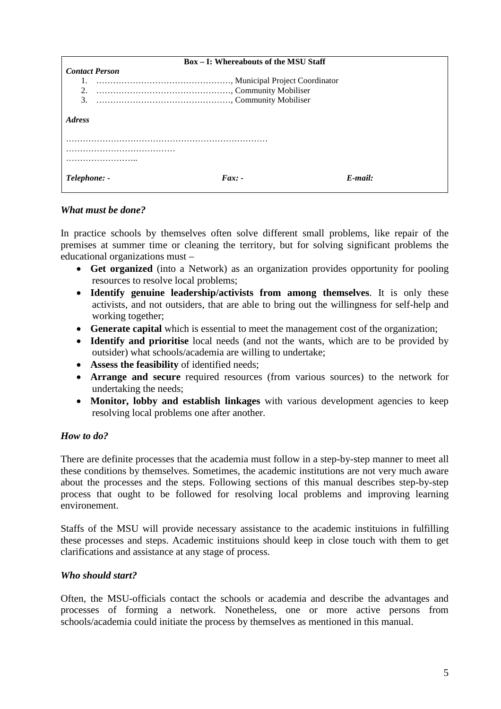|                       | <b>Box – I: Whereabouts of the MSU Staff</b> |         |
|-----------------------|----------------------------------------------|---------|
| <b>Contact Person</b> |                                              |         |
|                       |                                              |         |
| 2.                    |                                              |         |
| 3.                    |                                              |         |
| <i><b>Adress</b></i>  |                                              |         |
|                       |                                              |         |
|                       |                                              |         |
|                       |                                              |         |
| Telephone: -          | $Fax: -$                                     | E-mail: |

#### *What must be done?*

In practice schools by themselves often solve different small problems, like repair of the premises at summer time or cleaning the territory, but for solving significant problems the educational organizations must –

- **Get organized** (into a Network) as an organization provides opportunity for pooling resources to resolve local problems;
- **Identify genuine leadership/activists from among themselves**. It is only these activists, and not outsiders, that are able to bring out the willingness for self-help and working together;
- **Generate capital** which is essential to meet the management cost of the organization;
- **Identify and prioritise** local needs (and not the wants, which are to be provided by outsider) what schools/academia are willing to undertake;
- **Assess the feasibility** of identified needs;
- **Arrange and secure** required resources (from various sources) to the network for undertaking the needs;
- **Monitor, lobby and establish linkages** with various development agencies to keep resolving local problems one after another.

#### *How to do?*

There are definite processes that the academia must follow in a step-by-step manner to meet all these conditions by themselves. Sometimes, the academic institutions are not very much aware about the processes and the steps. Following sections of this manual describes step-by-step process that ought to be followed for resolving local problems and improving learning environement.

Staffs of the MSU will provide necessary assistance to the academic instituions in fulfilling these processes and steps. Academic instituions should keep in close touch with them to get clarifications and assistance at any stage of process.

#### *Who should start?*

Often, the MSU-officials contact the schools or academia and describe the advantages and processes of forming a network. Nonetheless, one or more active persons from schools/academia could initiate the process by themselves as mentioned in this manual.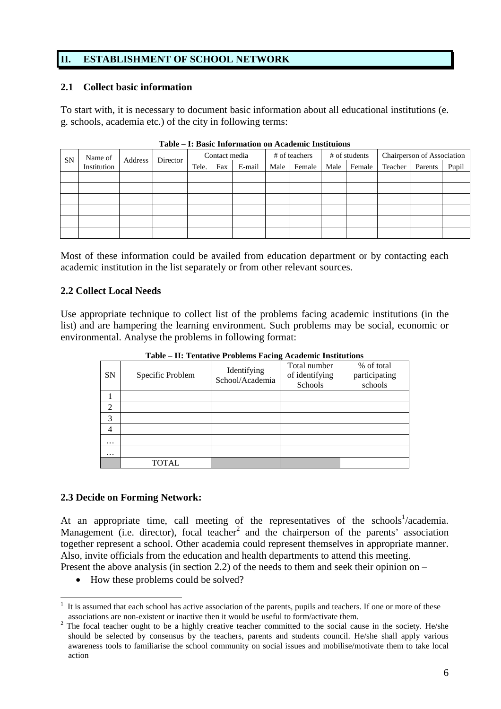# **II. ESTABLISHMENT OF SCHOOL NETWORK**

#### **2.1 Collect basic information**

To start with, it is necessary to document basic information about all educational institutions (e. g. schools, academia etc.) of the city in following terms:

| <b>SN</b> | Name of<br>Address<br>Director |  | Contact media |     |        | # of teachers |        |      | # of students | Chairperson of Association |         |       |
|-----------|--------------------------------|--|---------------|-----|--------|---------------|--------|------|---------------|----------------------------|---------|-------|
|           | Institution                    |  | Tele.         | Fax | E-mail | Male          | Female | Male | Female        | Teacher                    | Parents | Pupil |
|           |                                |  |               |     |        |               |        |      |               |                            |         |       |
|           |                                |  |               |     |        |               |        |      |               |                            |         |       |
|           |                                |  |               |     |        |               |        |      |               |                            |         |       |
|           |                                |  |               |     |        |               |        |      |               |                            |         |       |
|           |                                |  |               |     |        |               |        |      |               |                            |         |       |
|           |                                |  |               |     |        |               |        |      |               |                            |         |       |

**Table – I: Basic Information on Academic Instituions**

Most of these information could be availed from education department or by contacting each academic institution in the list separately or from other relevant sources.

### **2.2 Collect Local Needs**

Use appropriate technique to collect list of the problems facing academic institutions (in the list) and are hampering the learning environment. Such problems may be social, economic or environmental. Analyse the problems in following format:

|           |                  | Table – II. Tematrye i Tobienis Paenig Academic Institutions |                                           |                                        |
|-----------|------------------|--------------------------------------------------------------|-------------------------------------------|----------------------------------------|
| <b>SN</b> | Specific Problem | Identifying<br>School/Academia                               | Total number<br>of identifying<br>Schools | % of total<br>participating<br>schools |
|           |                  |                                                              |                                           |                                        |
| 2         |                  |                                                              |                                           |                                        |
| 3         |                  |                                                              |                                           |                                        |
| 4         |                  |                                                              |                                           |                                        |
| $\cdots$  |                  |                                                              |                                           |                                        |
| $\cdots$  |                  |                                                              |                                           |                                        |
|           | TOTAL            |                                                              |                                           |                                        |

**Table – II: Tentative Problems Facing Academic Institutions**

#### **2.3 Decide on Forming Network:**

At an appropriate time, call meeting of the representatives of the schools<sup>1</sup>/academia. Management (i.e. director), focal teacher<sup>2</sup> and the chairperson of the parents' association together represent a school. Other academia could represent themselves in appropriate manner. Also, invite officials from the education and health departments to attend this meeting.

Present the above analysis (in section 2.2) of the needs to them and seek their opinion on –

• How these problems could be solved?

<sup>1</sup> It is assumed that each school has active association of the parents, pupils and teachers. If one or more of these associations are non-existent or inactive then it would be useful to form/activate them.

<sup>2</sup> The focal teacher ought to be a highly creative teacher committed to the social cause in the society. He/she should be selected by consensus by the teachers, parents and students council. He/she shall apply various awareness tools to familiarise the school community on social issues and mobilise/motivate them to take local action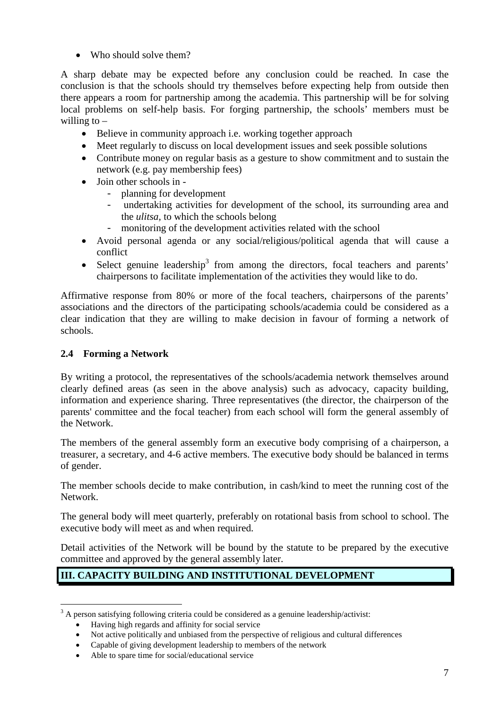• Who should solve them?

A sharp debate may be expected before any conclusion could be reached. In case the conclusion is that the schools should try themselves before expecting help from outside then there appears a room for partnership among the academia. This partnership will be for solving local problems on self-help basis. For forging partnership, the schools' members must be willing to  $-$ 

- Believe in community approach i.e. working together approach
- Meet regularly to discuss on local development issues and seek possible solutions
- Contribute money on regular basis as a gesture to show commitment and to sustain the network (e.g. pay membership fees)
- $\bullet$  Join other schools in
	- planning for development
	- undertaking activities for development of the school, its surrounding area and the *ulitsa,* to which the schools belong
	- monitoring of the development activities related with the school
- Avoid personal agenda or any social/religious/political agenda that will cause a conflict
- Select genuine leadership<sup>3</sup> from among the directors, focal teachers and parents' chairpersons to facilitate implementation of the activities they would like to do.

Affirmative response from 80% or more of the focal teachers, chairpersons of the parents' associations and the directors of the participating schools/academia could be considered as a clear indication that they are willing to make decision in favour of forming a network of schools.

## **2.4 Forming a Network**

By writing a protocol, the representatives of the schools/academia network themselves around clearly defined areas (as seen in the above analysis) such as advocacy, capacity building, information and experience sharing. Three representatives (the director, the chairperson of the parents' committee and the focal teacher) from each school will form the general assembly of the Network.

The members of the general assembly form an executive body comprising of a chairperson, a treasurer, a secretary, and 4-6 active members. The executive body should be balanced in terms of gender.

The member schools decide to make contribution, in cash/kind to meet the running cost of the Network.

The general body will meet quarterly, preferably on rotational basis from school to school. The executive body will meet as and when required.

Detail activities of the Network will be bound by the statute to be prepared by the executive committee and approved by the general assembly later.

# **III. CAPACITY BUILDING AND INSTITUTIONAL DEVELOPMENT**

 $3$  A person satisfying following criteria could be considered as a genuine leadership/activist:

Having high regards and affinity for social service

Not active politically and unbiased from the perspective of religious and cultural differences

Capable of giving development leadership to members of the network

Able to spare time for social/educational service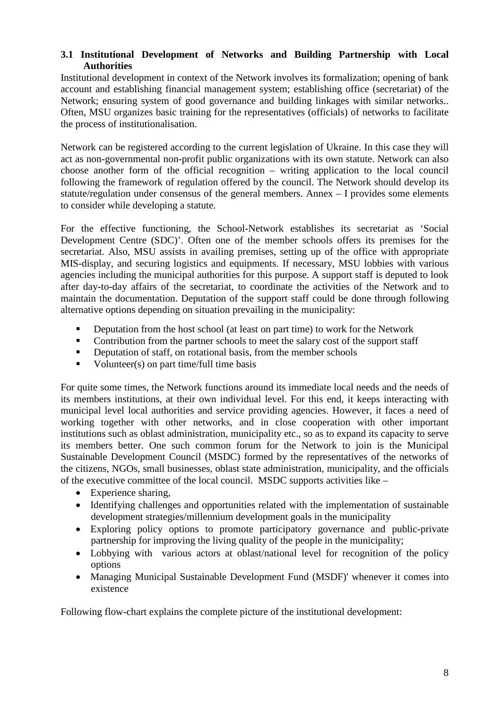### **3.1 Institutional Development of Networks and Building Partnership with Local Authorities**

Institutional development in context of the Network involves its formalization; opening of bank account and establishing financial management system; establishing office (secretariat) of the Network; ensuring system of good governance and building linkages with similar networks.. Often, MSU organizes basic training for the representatives (officials) of networks to facilitate the process of institutionalisation.

Network can be registered according to the current legislation of Ukraine. In this case they will act as non-governmental non-profit public organizations with its own statute. Network can also choose another form of the official recognition – writing application to the local council following the framework of regulation offered by the council. The Network should develop its statute/regulation under consensus of the general members. Annex – I provides some elements to consider while developing a statute.

For the effective functioning, the School-Network establishes its secretariat as 'Social Development Centre (SDC)'. Often one of the member schools offers its premises for the secretariat. Also, MSU assists in availing premises, setting up of the office with appropriate MIS-display, and securing logistics and equipments. If necessary, MSU lobbies with various agencies including the municipal authorities for this purpose. A support staff is deputed to look after day-to-day affairs of the secretariat, to coordinate the activities of the Network and to maintain the documentation. Deputation of the support staff could be done through following alternative options depending on situation prevailing in the municipality:

- Deputation from the host school (at least on part time) to work for the Network
- Contribution from the partner schools to meet the salary cost of the support staff
- Deputation of staff, on rotational basis, from the member schools
- Volunteer(s) on part time/full time basis

For quite some times, the Network functions around its immediate local needs and the needs of its members institutions, at their own individual level. For this end, it keeps interacting with municipal level local authorities and service providing agencies. However, it faces a need of working together with other networks, and in close cooperation with other important institutions such as oblast administration, municipality etc., so as to expand its capacity to serve its members better. One such common forum for the Network to join is the Municipal Sustainable Development Council (MSDC) formed by the representatives of the networks of the citizens, NGOs, small businesses, oblast state administration, municipality, and the officials of the executive committee of the local council. MSDC supports activities like –

- Experience sharing,
- Identifying challenges and opportunities related with the implementation of sustainable development strategies/millennium development goals in the municipality
- Exploring policy options to promote participatory governance and public-private partnership for improving the living quality of the people in the municipality;
- Lobbying with various actors at oblast/national level for recognition of the policy options
- Managing Municipal Sustainable Development Fund (MSDF)' whenever it comes into existence

Following flow-chart explains the complete picture of the institutional development: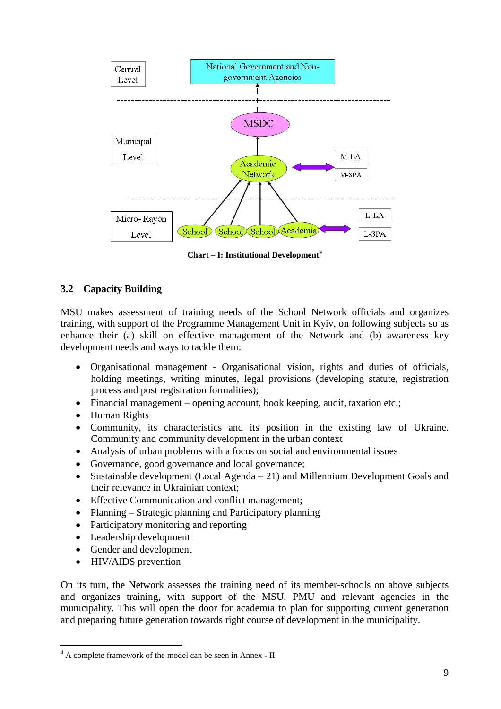

**Chart – I: Institutional Development<sup>4</sup>**

# **3.2 Capacity Building**

MSU makes assessment of training needs of the School Network officials and organizes training, with support of the Programme Management Unit in Kyiv, on following subjects so as enhance their (a) skill on effective management of the Network and (b) awareness key development needs and ways to tackle them:

- Organisational management Organisational vision, rights and duties of officials, holding meetings, writing minutes, legal provisions (developing statute, registration process and post registration formalities);
- Financial management opening account, book keeping, audit, taxation etc.;
- Human Rights
- Community, its characteristics and its position in the existing law of Ukraine. Community and community development in the urban context
- Analysis of urban problems with a focus on social and environmental issues
- Governance, good governance and local governance;
- Sustainable development (Local Agenda 21) and Millennium Development Goals and their relevance in Ukrainian context;
- Effective Communication and conflict management;
- Planning Strategic planning and Participatory planning
- Participatory monitoring and reporting
- Leadership development
- Gender and development
- HIV/AIDS prevention

On its turn, the Network assesses the training need of its member-schools on above subjects and organizes training, with support of the MSU, PMU and relevant agencies in the municipality. This will open the door for academia to plan for supporting current generation and preparing future generation towards right course of development in the municipality.

<sup>4</sup> A complete framework of the model can be seen in Annex - II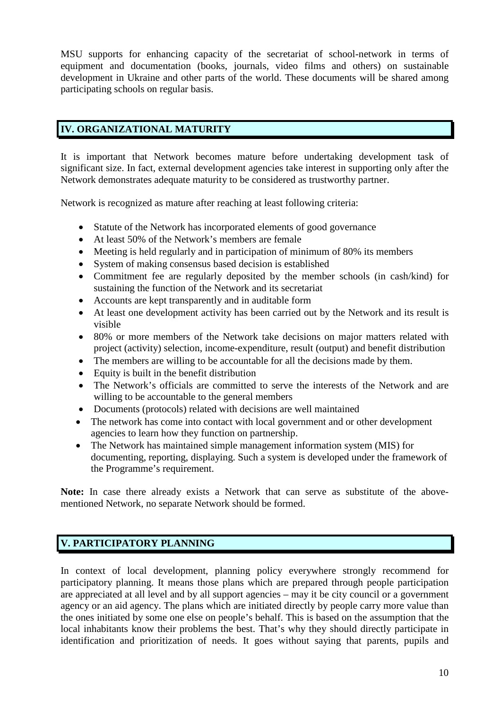MSU supports for enhancing capacity of the secretariat of school-network in terms of equipment and documentation (books, journals, video films and others) on sustainable development in Ukraine and other parts of the world. These documents will be shared among participating schools on regular basis.

# **IV. ORGANIZATIONAL MATURITY**

It is important that Network becomes mature before undertaking development task of significant size. In fact, external development agencies take interest in supporting only after the Network demonstrates adequate maturity to be considered as trustworthy partner.

Network is recognized as mature after reaching at least following criteria:

- Statute of the Network has incorporated elements of good governance
- At least 50% of the Network's members are female
- Meeting is held regularly and in participation of minimum of 80% its members
- System of making consensus based decision is established
- Commitment fee are regularly deposited by the member schools (in cash/kind) for sustaining the function of the Network and its secretariat
- Accounts are kept transparently and in auditable form
- At least one development activity has been carried out by the Network and its result is visible
- 80% or more members of the Network take decisions on major matters related with project (activity) selection, income-expenditure, result (output) and benefit distribution
- The members are willing to be accountable for all the decisions made by them.
- Equity is built in the benefit distribution
- The Network's officials are committed to serve the interests of the Network and are willing to be accountable to the general members
- Documents (protocols) related with decisions are well maintained
- The network has come into contact with local government and or other development agencies to learn how they function on partnership.
- The Network has maintained simple management information system (MIS) for documenting, reporting, displaying. Such a system is developed under the framework of the Programme's requirement.

**Note:** In case there already exists a Network that can serve as substitute of the abovementioned Network, no separate Network should be formed.

# **V. PARTICIPATORY PLANNING**

In context of local development, planning policy everywhere strongly recommend for participatory planning. It means those plans which are prepared through people participation are appreciated at all level and by all support agencies – may it be city council or a government agency or an aid agency. The plans which are initiated directly by people carry more value than the ones initiated by some one else on people's behalf. This is based on the assumption that the local inhabitants know their problems the best. That's why they should directly participate in identification and prioritization of needs. It goes without saying that parents, pupils and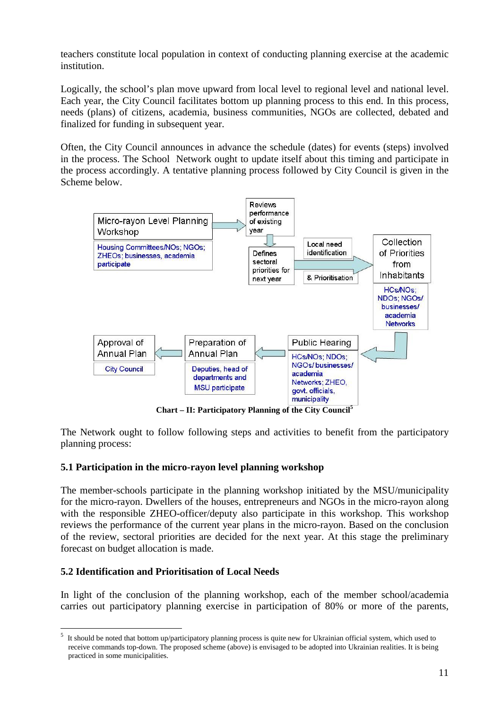teachers constitute local population in context of conducting planning exercise at the academic institution.

Logically, the school's plan move upward from local level to regional level and national level. Each year, the City Council facilitates bottom up planning process to this end. In this process, needs (plans) of citizens, academia, business communities, NGOs are collected, debated and finalized for funding in subsequent year.

Often, the City Council announces in advance the schedule (dates) for events (steps) involved in the process. The School Network ought to update itself about this timing and participate in the process accordingly. A tentative planning process followed by City Council is given in the Scheme below.



**Chart – II: Participatory Planning of the City Council<sup>5</sup>**

The Network ought to follow following steps and activities to benefit from the participatory planning process:

### **5.1 Participation in the micro-rayon level planning workshop**

The member-schools participate in the planning workshop initiated by the MSU/municipality for the micro-rayon. Dwellers of the houses, entrepreneurs and NGOs in the micro-rayon along with the responsible ZHEO-officer/deputy also participate in this workshop. This workshop reviews the performance of the current year plans in the micro-rayon. Based on the conclusion of the review, sectoral priorities are decided for the next year. At this stage the preliminary forecast on budget allocation is made.

# **5.2 Identification and Prioritisation of Local Needs**

In light of the conclusion of the planning workshop, each of the member school/academia carries out participatory planning exercise in participation of 80% or more of the parents,

 $<sup>5</sup>$  It should be noted that bottom up/participatory planning process is quite new for Ukrainian official system, which used to</sup> receive commands top-down. The proposed scheme (above) is envisaged to be adopted into Ukrainian realities. It is being practiced in some municipalities.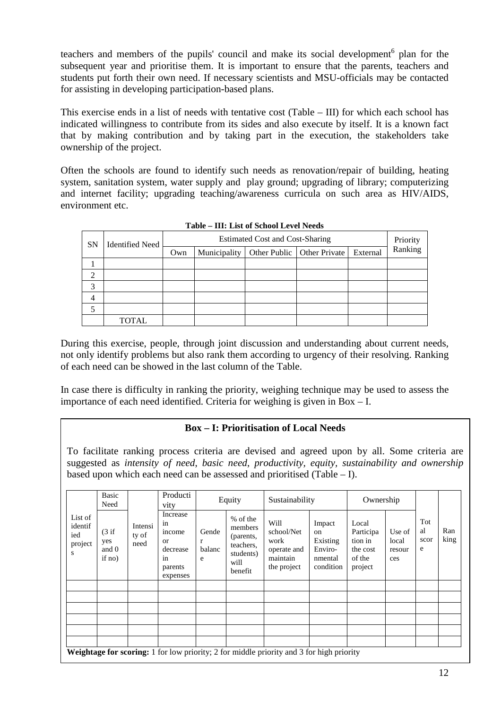teachers and members of the pupils' council and make its social development<sup>6</sup> plan for the subsequent year and prioritise them. It is important to ensure that the parents, teachers and students put forth their own need. If necessary scientists and MSU-officials may be contacted for assisting in developing participation-based plans.

This exercise ends in a list of needs with tentative cost (Table – III) for which each school has indicated willingness to contribute from its sides and also execute by itself. It is a known fact that by making contribution and by taking part in the execution, the stakeholders take ownership of the project.

Often the schools are found to identify such needs as renovation/repair of building, heating system, sanitation system, water supply and play ground; upgrading of library; computerizing and internet facility; upgrading teaching/awareness curricula on such area as HIV/AIDS, environment etc.

| <b>SN</b> | <b>Identified Need</b> |     | Estimated Cost and Cost-Sharing |              |                      |          |         |  |  |  |  |
|-----------|------------------------|-----|---------------------------------|--------------|----------------------|----------|---------|--|--|--|--|
|           |                        | Own | Municipality                    | Other Public | <b>Other Private</b> | External | Ranking |  |  |  |  |
|           |                        |     |                                 |              |                      |          |         |  |  |  |  |
| ↑         |                        |     |                                 |              |                      |          |         |  |  |  |  |
| 3         |                        |     |                                 |              |                      |          |         |  |  |  |  |
| 4         |                        |     |                                 |              |                      |          |         |  |  |  |  |
|           |                        |     |                                 |              |                      |          |         |  |  |  |  |
|           | <b>TOTAL</b>           |     |                                 |              |                      |          |         |  |  |  |  |

**Table – III: List of School Level Needs**

During this exercise, people, through joint discussion and understanding about current needs, not only identify problems but also rank them according to urgency of their resolving. Ranking of each need can be showed in the last column of the Table.

In case there is difficulty in ranking the priority, weighing technique may be used to assess the importance of each need identified. Criteria for weighing is given in Box – I.

# **Box – I: Prioritisation of Local Needs**

To facilitate ranking process criteria are devised and agreed upon by all. Some criteria are suggested as *intensity of need*, *basic need*, *productivity, equity, sustainability and ownership* based upon which each need can be assessed and prioritised (Table – I).

|                                           | Basic<br>Need                   |                          | Producti<br>vity                                                              |                           | Equity                                                                        | Sustainability                                                                                  |                                                             | Ownership                                                                                          |  |                        |             |
|-------------------------------------------|---------------------------------|--------------------------|-------------------------------------------------------------------------------|---------------------------|-------------------------------------------------------------------------------|-------------------------------------------------------------------------------------------------|-------------------------------------------------------------|----------------------------------------------------------------------------------------------------|--|------------------------|-------------|
| List of<br>identif<br>ied<br>project<br>S | (3 if<br>yes<br>and 0<br>if no) | Intensi<br>ty of<br>need | Increase<br>1n<br>income<br>$\alpha$<br>decrease<br>in<br>parents<br>expenses | Gende<br>r<br>balanc<br>e | % of the<br>members<br>(parents,<br>teachers.<br>students)<br>will<br>benefit | Will<br>school/Net<br>work<br>operate and<br>maintain<br>the project                            | Impact<br>on<br>Existing<br>Enviro-<br>nmental<br>condition | Local<br>Participa<br>Use of<br>tion in<br>local<br>the cost<br>resour<br>of the<br>ces<br>project |  | Tot<br>al<br>scor<br>e | Ran<br>king |
|                                           |                                 |                          |                                                                               |                           |                                                                               |                                                                                                 |                                                             |                                                                                                    |  |                        |             |
|                                           |                                 |                          |                                                                               |                           |                                                                               |                                                                                                 |                                                             |                                                                                                    |  |                        |             |
|                                           |                                 |                          |                                                                               |                           |                                                                               |                                                                                                 |                                                             |                                                                                                    |  |                        |             |
|                                           |                                 |                          |                                                                               |                           |                                                                               | <b>Weightage for scoring:</b> 1 for low priority; 2 for middle priority and 3 for high priority |                                                             |                                                                                                    |  |                        |             |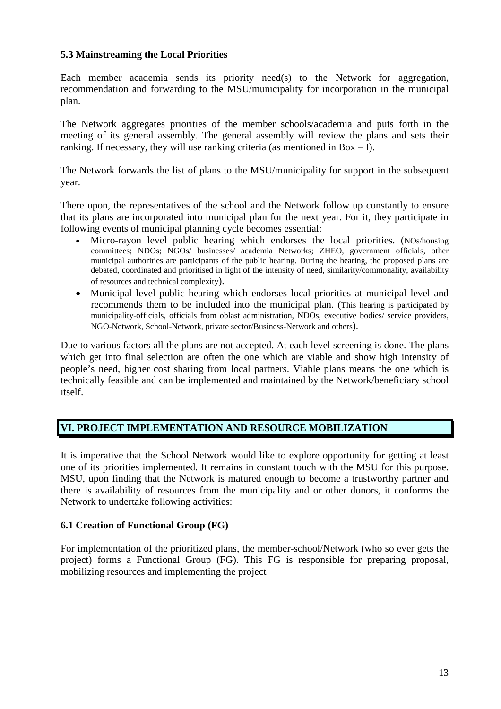### **5.3 Mainstreaming the Local Priorities**

Each member academia sends its priority need(s) to the Network for aggregation, recommendation and forwarding to the MSU/municipality for incorporation in the municipal plan.

The Network aggregates priorities of the member schools/academia and puts forth in the meeting of its general assembly. The general assembly will review the plans and sets their ranking. If necessary, they will use ranking criteria (as mentioned in  $Box - I$ ).

The Network forwards the list of plans to the MSU/municipality for support in the subsequent year.

There upon, the representatives of the school and the Network follow up constantly to ensure that its plans are incorporated into municipal plan for the next year. For it, they participate in following events of municipal planning cycle becomes essential:

- Micro-rayon level public hearing which endorses the local priorities. (NOs/housing committees; NDOs; NGOs/ businesses/ academia Networks; ZHEO, government officials, other municipal authorities are participants of the public hearing. During the hearing, the proposed plans are debated, coordinated and prioritised in light of the intensity of need, similarity/commonality, availability of resources and technical complexity).
- Municipal level public hearing which endorses local priorities at municipal level and recommends them to be included into the municipal plan. (This hearing is participated by municipality-officials, officials from oblast administration, NDOs, executive bodies/ service providers, NGO-Network, School-Network, private sector/Business-Network and others).

Due to various factors all the plans are not accepted. At each level screening is done. The plans which get into final selection are often the one which are viable and show high intensity of people's need, higher cost sharing from local partners. Viable plans means the one which is technically feasible and can be implemented and maintained by the Network/beneficiary school itself.

### **VI. PROJECT IMPLEMENTATION AND RESOURCE MOBILIZATION**

It is imperative that the School Network would like to explore opportunity for getting at least one of its priorities implemented. It remains in constant touch with the MSU for this purpose. MSU, upon finding that the Network is matured enough to become a trustworthy partner and there is availability of resources from the municipality and or other donors, it conforms the Network to undertake following activities:

### **6.1 Creation of Functional Group (FG)**

For implementation of the prioritized plans, the member-school/Network (who so ever gets the project) forms a Functional Group (FG). This FG is responsible for preparing proposal, mobilizing resources and implementing the project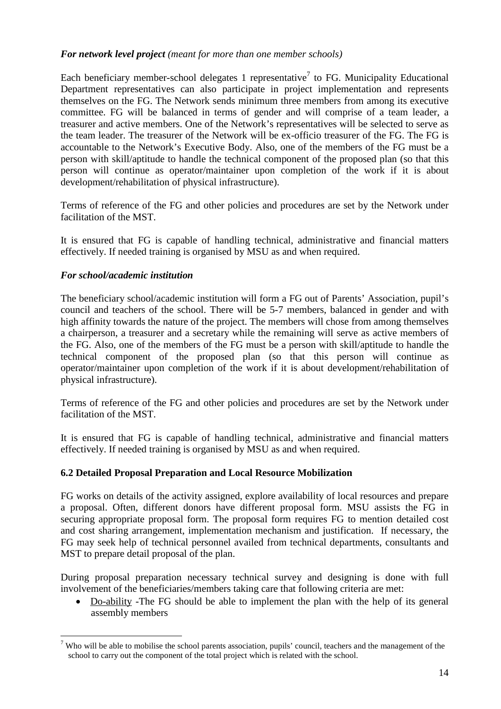### *For network level project (meant for more than one member schools)*

Each beneficiary member-school delegates 1 representative<sup>7</sup> to FG. Municipality Educational Department representatives can also participate in project implementation and represents themselves on the FG. The Network sends minimum three members from among its executive committee. FG will be balanced in terms of gender and will comprise of a team leader, a treasurer and active members. One of the Network's representatives will be selected to serve as the team leader. The treasurer of the Network will be ex-officio treasurer of the FG. The FG is accountable to the Network's Executive Body. Also, one of the members of the FG must be a person with skill/aptitude to handle the technical component of the proposed plan (so that this person will continue as operator/maintainer upon completion of the work if it is about development/rehabilitation of physical infrastructure).

Terms of reference of the FG and other policies and procedures are set by the Network under facilitation of the MST.

It is ensured that FG is capable of handling technical, administrative and financial matters effectively. If needed training is organised by MSU as and when required.

### *For school/academic institution*

The beneficiary school/academic institution will form a FG out of Parents' Association, pupil's council and teachers of the school. There will be 5-7 members, balanced in gender and with high affinity towards the nature of the project. The members will chose from among themselves a chairperson, a treasurer and a secretary while the remaining will serve as active members of the FG. Also, one of the members of the FG must be a person with skill/aptitude to handle the technical component of the proposed plan (so that this person will continue as operator/maintainer upon completion of the work if it is about development/rehabilitation of physical infrastructure).

Terms of reference of the FG and other policies and procedures are set by the Network under facilitation of the MST.

It is ensured that FG is capable of handling technical, administrative and financial matters effectively. If needed training is organised by MSU as and when required.

### **6.2 Detailed Proposal Preparation and Local Resource Mobilization**

FG works on details of the activity assigned, explore availability of local resources and prepare a proposal. Often, different donors have different proposal form. MSU assists the FG in securing appropriate proposal form. The proposal form requires FG to mention detailed cost and cost sharing arrangement, implementation mechanism and justification. If necessary, the FG may seek help of technical personnel availed from technical departments*,* consultants and MST to prepare detail proposal of the plan.

During proposal preparation necessary technical survey and designing is done with full involvement of the beneficiaries/members taking care that following criteria are met:

• Do-ability -The FG should be able to implement the plan with the help of its general assembly members

<sup>&</sup>lt;sup>7</sup> Who will be able to mobilise the school parents association, pupils' council, teachers and the management of the school to carry out the component of the total project which is related with the school.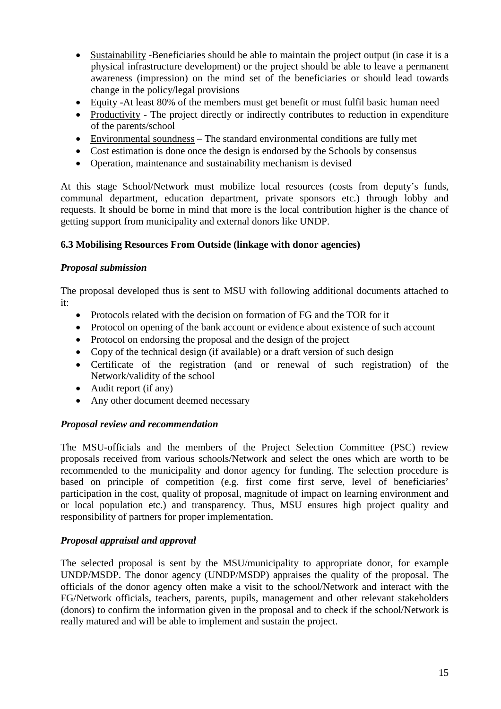- Sustainability -Beneficiaries should be able to maintain the project output (in case it is a physical infrastructure development) or the project should be able to leave a permanent awareness (impression) on the mind set of the beneficiaries or should lead towards change in the policy/legal provisions
- Equity -At least 80% of the members must get benefit or must fulfil basic human need
- Productivity The project directly or indirectly contributes to reduction in expenditure of the parents/school
- Environmental soundness The standard environmental conditions are fully met
- Cost estimation is done once the design is endorsed by the Schools by consensus
- Operation, maintenance and sustainability mechanism is devised

At this stage School/Network must mobilize local resources (costs from deputy's funds, communal department, education department, private sponsors etc.) through lobby and requests. It should be borne in mind that more is the local contribution higher is the chance of getting support from municipality and external donors like UNDP.

### **6.3 Mobilising Resources From Outside (linkage with donor agencies)**

#### *Proposal submission*

The proposal developed thus is sent to MSU with following additional documents attached to it:

- Protocols related with the decision on formation of FG and the TOR for it
- Protocol on opening of the bank account or evidence about existence of such account
- Protocol on endorsing the proposal and the design of the project
- Copy of the technical design (if available) or a draft version of such design
- Certificate of the registration (and or renewal of such registration) of the Network/validity of the school
- Audit report (if any)
- Any other document deemed necessary

### *Proposal review and recommendation*

The MSU-officials and the members of the Project Selection Committee (PSC) review proposals received from various schools/Network and select the ones which are worth to be recommended to the municipality and donor agency for funding. The selection procedure is based on principle of competition (e.g. first come first serve, level of beneficiaries' participation in the cost, quality of proposal, magnitude of impact on learning environment and or local population etc.) and transparency. Thus, MSU ensures high project quality and responsibility of partners for proper implementation.

### *Proposal appraisal and approval*

The selected proposal is sent by the MSU/municipality to appropriate donor, for example UNDP/MSDP. The donor agency (UNDP/MSDP) appraises the quality of the proposal. The officials of the donor agency often make a visit to the school/Network and interact with the FG/Network officials, teachers, parents, pupils, management and other relevant stakeholders (donors) to confirm the information given in the proposal and to check if the school/Network is really matured and will be able to implement and sustain the project.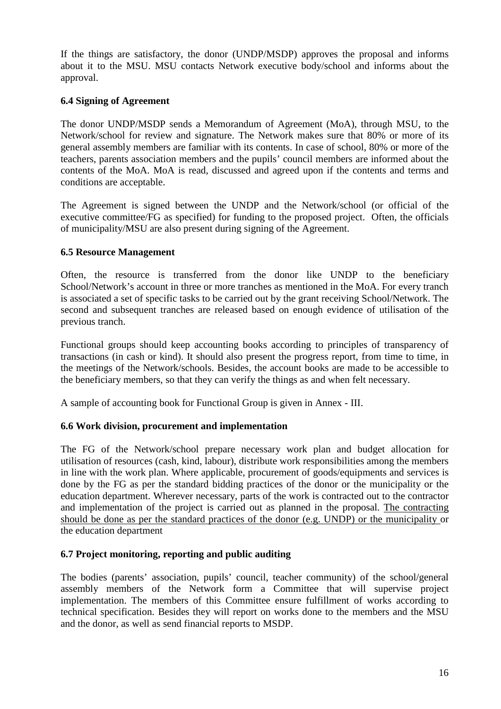If the things are satisfactory, the donor (UNDP/MSDP) approves the proposal and informs about it to the MSU. MSU contacts Network executive body/school and informs about the approval.

# **6.4 Signing of Agreement**

The donor UNDP/MSDP sends a Memorandum of Agreement (MoA), through MSU, to the Network/school for review and signature. The Network makes sure that 80% or more of its general assembly members are familiar with its contents. In case of school, 80% or more of the teachers, parents association members and the pupils' council members are informed about the contents of the MoA. MoA is read, discussed and agreed upon if the contents and terms and conditions are acceptable.

The Agreement is signed between the UNDP and the Network/school (or official of the executive committee/FG as specified) for funding to the proposed project. Often, the officials of municipality/MSU are also present during signing of the Agreement.

### **6.5 Resource Management**

Often, the resource is transferred from the donor like UNDP to the beneficiary School/Network's account in three or more tranches as mentioned in the MoA. For every tranch is associated a set of specific tasks to be carried out by the grant receiving School/Network. The second and subsequent tranches are released based on enough evidence of utilisation of the previous tranch.

Functional groups should keep accounting books according to principles of transparency of transactions (in cash or kind). It should also present the progress report, from time to time, in the meetings of the Network/schools. Besides, the account books are made to be accessible to the beneficiary members, so that they can verify the things as and when felt necessary.

A sample of accounting book for Functional Group is given in Annex - III.

### **6.6 Work division, procurement and implementation**

The FG of the Network/school prepare necessary work plan and budget allocation for utilisation of resources (cash, kind, labour), distribute work responsibilities among the members in line with the work plan. Where applicable, procurement of goods/equipments and services is done by the FG as per the standard bidding practices of the donor or the municipality or the education department. Wherever necessary, parts of the work is contracted out to the contractor and implementation of the project is carried out as planned in the proposal. The contracting should be done as per the standard practices of the donor (e.g. UNDP) or the municipality or the education department

### **6.7 Project monitoring, reporting and public auditing**

The bodies (parents' association, pupils' council, teacher community) of the school/general assembly members of the Network form a Committee that will supervise project implementation. The members of this Committee ensure fulfillment of works according to technical specification. Besides they will report on works done to the members and the MSU and the donor, as well as send financial reports to MSDP.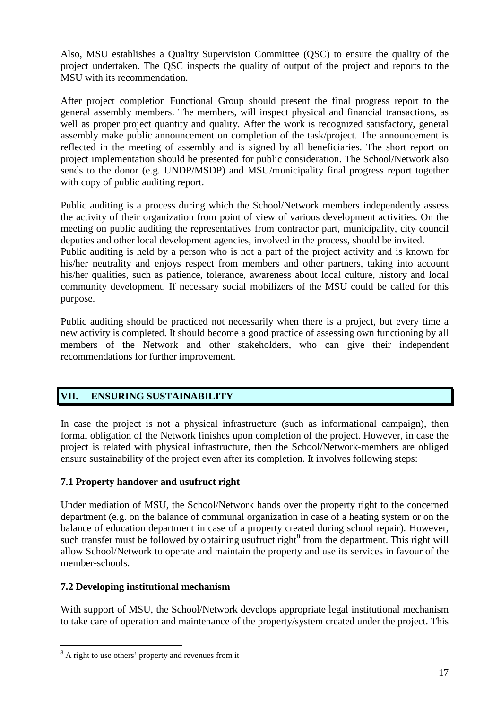Also, MSU establishes a Quality Supervision Committee (QSC) to ensure the quality of the project undertaken. The QSC inspects the quality of output of the project and reports to the MSU with its recommendation.

After project completion Functional Group should present the final progress report to the general assembly members. The members, will inspect physical and financial transactions, as well as proper project quantity and quality. After the work is recognized satisfactory, general assembly make public announcement on completion of the task/project. The announcement is reflected in the meeting of assembly and is signed by all beneficiaries. The short report on project implementation should be presented for public consideration. The School/Network also sends to the donor (e.g. UNDP/MSDP) and MSU/municipality final progress report together with copy of public auditing report.

Public auditing is a process during which the School/Network members independently assess the activity of their organization from point of view of various development activities. On the meeting on public auditing the representatives from contractor part, municipality, city council deputies and other local development agencies, involved in the process, should be invited. Public auditing is held by a person who is not a part of the project activity and is known for his/her neutrality and enjoys respect from members and other partners, taking into account his/her qualities, such as patience, tolerance, awareness about local culture, history and local community development. If necessary social mobilizers of the MSU could be called for this purpose.

Public auditing should be practiced not necessarily when there is a project, but every time a new activity is completed. It should become a good practice of assessing own functioning by all members of the Network and other stakeholders, who can give their independent recommendations for further improvement.

# **VII. ENSURING SUSTAINABILITY**

In case the project is not a physical infrastructure (such as informational campaign), then formal obligation of the Network finishes upon completion of the project. However, in case the project is related with physical infrastructure, then the School/Network-members are obliged ensure sustainability of the project even after its completion. It involves following steps:

# **7.1 Property handover and usufruct right**

Under mediation of MSU, the School/Network hands over the property right to the concerned department (e.g. on the balance of communal organization in case of a heating system or on the balance of education department in case of a property created during school repair). However, such transfer must be followed by obtaining usufruct right $\delta$  from the department. This right will allow School/Network to operate and maintain the property and use its services in favour of the member-schools.

### **7.2 Developing institutional mechanism**

With support of MSU, the School/Network develops appropriate legal institutional mechanism to take care of operation and maintenance of the property/system created under the project. This

<sup>&</sup>lt;sup>8</sup> A right to use others' property and revenues from it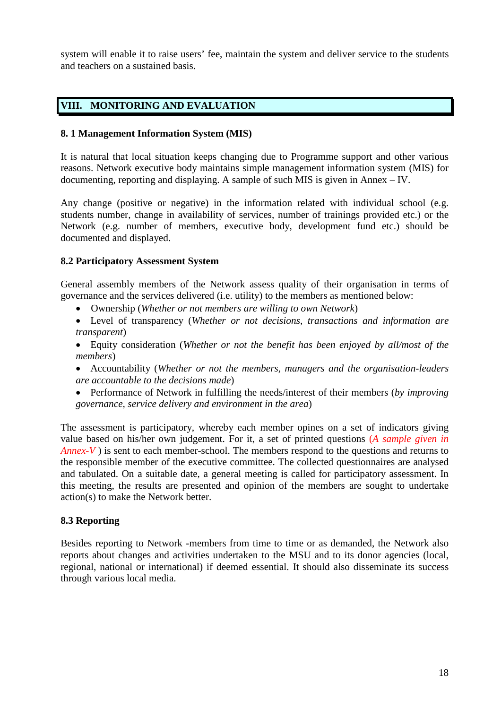system will enable it to raise users' fee, maintain the system and deliver service to the students and teachers on a sustained basis.

# **VIII. MONITORING AND EVALUATION**

#### **8. 1 Management Information System (MIS)**

It is natural that local situation keeps changing due to Programme support and other various reasons. Network executive body maintains simple management information system (MIS) for documenting, reporting and displaying. A sample of such MIS is given in Annex – IV.

Any change (positive or negative) in the information related with individual school (e.g. students number, change in availability of services, number of trainings provided etc.) or the Network (e.g. number of members, executive body, development fund etc.) should be documented and displayed.

#### **8.2 Participatory Assessment System**

General assembly members of the Network assess quality of their organisation in terms of governance and the services delivered (i.e. utility) to the members as mentioned below:

- Ownership (*Whether or not members are willing to own Network*)
- Level of transparency (*Whether or not decisions, transactions and information are transparent*)
- Equity consideration (*Whether or not the benefit has been enjoyed by all/most of the members*)
- Accountability (*Whether or not the members, managers and the organisation-leaders are accountable to the decisions made*)
- Performance of Network in fulfilling the needs/interest of their members (*by improving governance, service delivery and environment in the area*)

The assessment is participatory, whereby each member opines on a set of indicators giving value based on his/her own judgement. For it, a set of printed questions (*A sample given in Annex-V*) is sent to each member-school. The members respond to the questions and returns to the responsible member of the executive committee. The collected questionnaires are analysed and tabulated. On a suitable date, a general meeting is called for participatory assessment. In this meeting, the results are presented and opinion of the members are sought to undertake action(s) to make the Network better.

### **8.3 Reporting**

Besides reporting to Network -members from time to time or as demanded, the Network also reports about changes and activities undertaken to the MSU and to its donor agencies (local, regional, national or international) if deemed essential. It should also disseminate its success through various local media.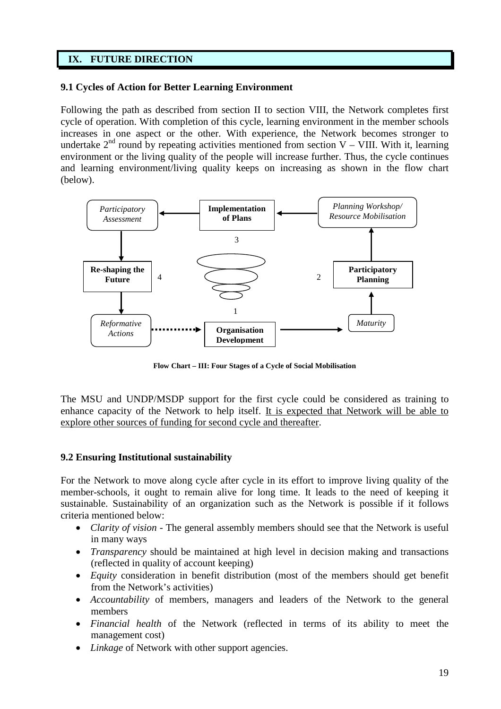# **IX. FUTURE DIRECTION**

### **9.1 Cycles of Action for Better Learning Environment**

Following the path as described from section II to section VIII, the Network completes first cycle of operation. With completion of this cycle, learning environment in the member schools increases in one aspect or the other. With experience, the Network becomes stronger to undertake  $2<sup>nd</sup>$  round by repeating activities mentioned from section V – VIII. With it, learning environment or the living quality of the people will increase further. Thus, the cycle continues and learning environment/living quality keeps on increasing as shown in the flow chart (below).



**Flow Chart – III: Four Stages of a Cycle of Social Mobilisation**

The MSU and UNDP/MSDP support for the first cycle could be considered as training to enhance capacity of the Network to help itself. It is expected that Network will be able to explore other sources of funding for second cycle and thereafter.

### **9.2 Ensuring Institutional sustainability**

For the Network to move along cycle after cycle in its effort to improve living quality of the member-schools, it ought to remain alive for long time. It leads to the need of keeping it sustainable. Sustainability of an organization such as the Network is possible if it follows criteria mentioned below:

- *Clarity of vision* The general assembly members should see that the Network is useful in many ways
- *Transparency* should be maintained at high level in decision making and transactions (reflected in quality of account keeping)
- *Equity* consideration in benefit distribution (most of the members should get benefit from the Network's activities)
- *Accountability* of members, managers and leaders of the Network to the general members
- *Financial health* of the Network (reflected in terms of its ability to meet the management cost)
- *Linkage* of Network with other support agencies.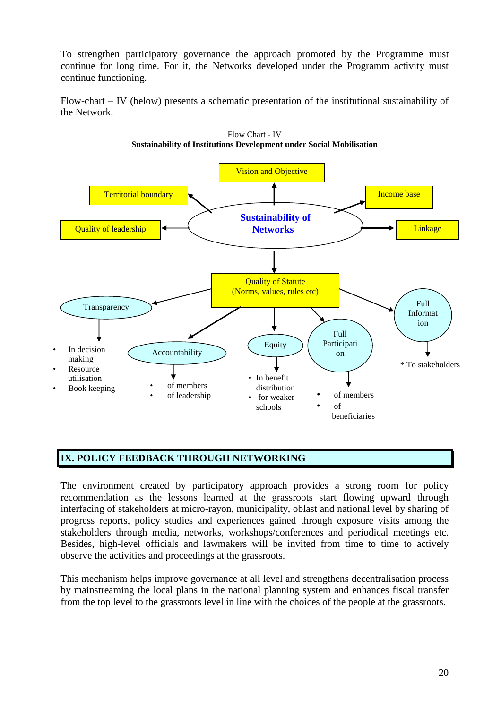To strengthen participatory governance the approach promoted by the Programme must continue for long time. For it, the Networks developed under the Programm activity must continue functioning.

Flow-chart – IV (below) presents a schematic presentation of the institutional sustainability of the Network.



Flow Chart - IV **Sustainability of Institutions Development under Social Mobilisation**

# **IX. POLICY FEEDBACK THROUGH NETWORKING**

The environment created by participatory approach provides a strong room for policy recommendation as the lessons learned at the grassroots start flowing upward through interfacing of stakeholders at micro-rayon, municipality, oblast and national level by sharing of progress reports, policy studies and experiences gained through exposure visits among the stakeholders through media, networks, workshops/conferences and periodical meetings etc. Besides, high-level officials and lawmakers will be invited from time to time to actively observe the activities and proceedings at the grassroots.

This mechanism helps improve governance at all level and strengthens decentralisation process by mainstreaming the local plans in the national planning system and enhances fiscal transfer from the top level to the grassroots level in line with the choices of the people at the grassroots.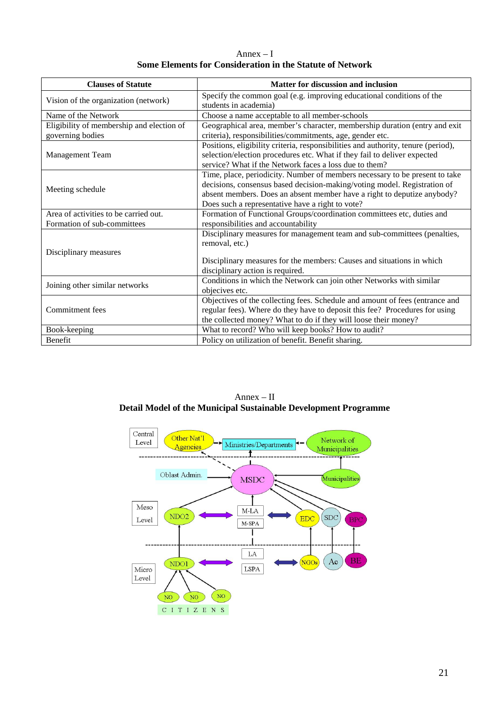Annex – I **Some Elements for Consideration in the Statute of Network**

| <b>Clauses of Statute</b>                 | Matter for discussion and inclusion                                               |
|-------------------------------------------|-----------------------------------------------------------------------------------|
| Vision of the organization (network)      | Specify the common goal (e.g. improving educational conditions of the             |
|                                           | students in academia)                                                             |
| Name of the Network                       | Choose a name acceptable to all member-schools                                    |
| Eligibility of membership and election of | Geographical area, member's character, membership duration (entry and exit        |
| governing bodies                          | criteria), responsibilities/commitments, age, gender etc.                         |
|                                           | Positions, eligibility criteria, responsibilities and authority, tenure (period), |
| <b>Management Team</b>                    | selection/election procedures etc. What if they fail to deliver expected          |
|                                           | service? What if the Network faces a loss due to them?                            |
|                                           | Time, place, periodicity. Number of members necessary to be present to take       |
| Meeting schedule                          | decisions, consensus based decision-making/voting model. Registration of          |
|                                           | absent members. Does an absent member have a right to deputize anybody?           |
|                                           | Does such a representative have a right to vote?                                  |
| Area of activities to be carried out.     | Formation of Functional Groups/coordination committees etc, duties and            |
| Formation of sub-committees               | responsibilities and accountability                                               |
|                                           | Disciplinary measures for management team and sub-committees (penalties,          |
|                                           | removal, etc.)                                                                    |
| Disciplinary measures                     |                                                                                   |
|                                           | Disciplinary measures for the members: Causes and situations in which             |
|                                           | disciplinary action is required.                                                  |
| Joining other similar networks            | Conditions in which the Network can join other Networks with similar              |
|                                           | objecives etc.                                                                    |
|                                           | Objectives of the collecting fees. Schedule and amount of fees (entrance and      |
| Commitment fees                           | regular fees). Where do they have to deposit this fee? Procedures for using       |
|                                           | the collected money? What to do if they will loose their money?                   |
| Book-keeping                              | What to record? Who will keep books? How to audit?                                |
| <b>Benefit</b>                            | Policy on utilization of benefit. Benefit sharing.                                |



Annex – II **Detail Model of the Municipal Sustainable Development Programme**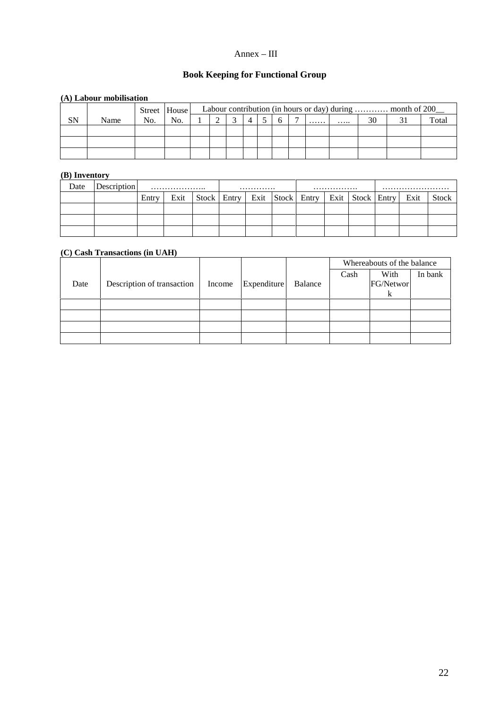#### Annex – III

# **Book Keeping for Functional Group**

#### **(A) Labour mobilisation**

|    | $(11)$ map our mobilisation |     |                |  |  |  |                |   |   |    |                                                            |       |
|----|-----------------------------|-----|----------------|--|--|--|----------------|---|---|----|------------------------------------------------------------|-------|
|    |                             |     | Street   House |  |  |  |                |   |   |    | Labour contribution (in hours or day) during  month of 200 |       |
| SN | Name                        | No. | No.            |  |  |  | $\overline{ }$ | . | . | 30 |                                                            | Total |
|    |                             |     |                |  |  |  |                |   |   |    |                                                            |       |
|    |                             |     |                |  |  |  |                |   |   |    |                                                            |       |
|    |                             |     |                |  |  |  |                |   |   |    |                                                            |       |

#### **(B) Inventory**

| Date | Description | .     |      | .             |  | . |  |                  |  |                      |  |      |              |
|------|-------------|-------|------|---------------|--|---|--|------------------|--|----------------------|--|------|--------------|
|      |             | Entry | Exit | Stock   Entry |  |   |  | Exit Stock Entry |  | Exit   Stock   Entry |  | Exit | <b>Stock</b> |
|      |             |       |      |               |  |   |  |                  |  |                      |  |      |              |
|      |             |       |      |               |  |   |  |                  |  |                      |  |      |              |
|      |             |       |      |               |  |   |  |                  |  |                      |  |      |              |

#### **(C) Cash Transactions (in UAH)**

|      |                            |        |             |         |      | Whereabouts of the balance |         |
|------|----------------------------|--------|-------------|---------|------|----------------------------|---------|
|      |                            |        |             |         | Cash | With                       | In bank |
| Date | Description of transaction | Income | Expenditure | Balance |      | FG/Networ                  |         |
|      |                            |        |             |         |      |                            |         |
|      |                            |        |             |         |      |                            |         |
|      |                            |        |             |         |      |                            |         |
|      |                            |        |             |         |      |                            |         |
|      |                            |        |             |         |      |                            |         |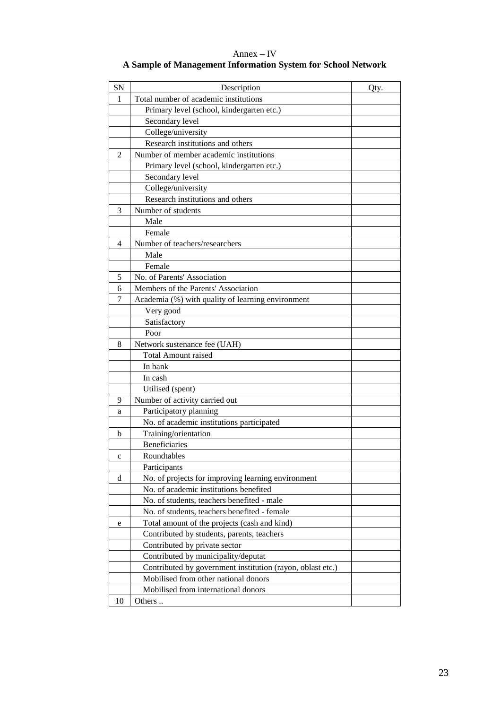Annex – IV **A Sample of Management Information System for School Network**

| <b>SN</b>    | Description                                                | Qty. |
|--------------|------------------------------------------------------------|------|
| $\mathbf{1}$ | Total number of academic institutions                      |      |
|              | Primary level (school, kindergarten etc.)                  |      |
|              | Secondary level                                            |      |
|              | College/university                                         |      |
|              | Research institutions and others                           |      |
| 2            | Number of member academic institutions                     |      |
|              | Primary level (school, kindergarten etc.)                  |      |
|              | Secondary level                                            |      |
|              | College/university                                         |      |
|              | Research institutions and others                           |      |
| 3            | Number of students                                         |      |
|              | Male                                                       |      |
|              | Female                                                     |      |
| 4            | Number of teachers/researchers                             |      |
|              | Male                                                       |      |
|              | Female                                                     |      |
| 5            | No. of Parents' Association                                |      |
| 6            | Members of the Parents' Association                        |      |
| 7            | Academia (%) with quality of learning environment          |      |
|              | Very good                                                  |      |
|              | Satisfactory                                               |      |
|              | Poor                                                       |      |
| 8            | Network sustenance fee (UAH)                               |      |
|              | <b>Total Amount raised</b>                                 |      |
|              | In bank                                                    |      |
|              | In cash                                                    |      |
|              | Utilised (spent)                                           |      |
| 9            | Number of activity carried out                             |      |
| a            | Participatory planning                                     |      |
|              | No. of academic institutions participated                  |      |
| b            | Training/orientation                                       |      |
|              | <b>Beneficiaries</b>                                       |      |
| $\mathbf c$  | Roundtables                                                |      |
|              | Participants                                               |      |
| d            | No. of projects for improving learning environment         |      |
|              | No. of academic institutions benefited                     |      |
|              | No. of students, teachers benefited - male                 |      |
|              | No. of students, teachers benefited - female               |      |
| e            | Total amount of the projects (cash and kind)               |      |
|              | Contributed by students, parents, teachers                 |      |
|              | Contributed by private sector                              |      |
|              | Contributed by municipality/deputat                        |      |
|              | Contributed by government institution (rayon, oblast etc.) |      |
|              | Mobilised from other national donors                       |      |
|              | Mobilised from international donors                        |      |
| 10           | Others                                                     |      |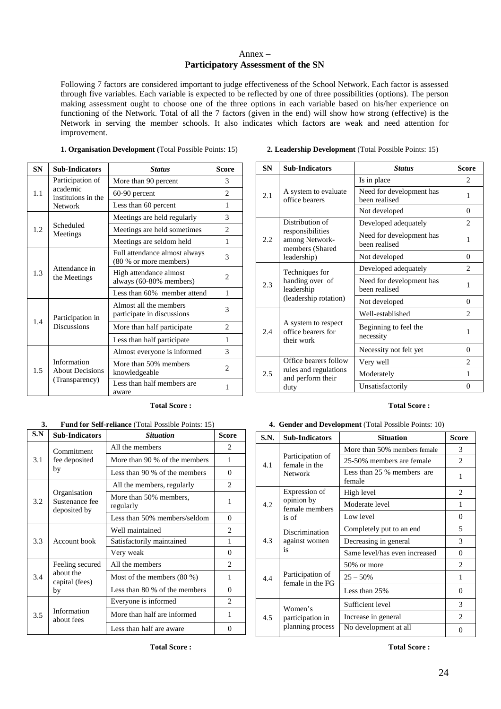#### Annex – **Participatory Assessment of the SN**

Following 7 factors are considered important to judge effectiveness of the School Network. Each factor is assessed through five variables. Each variable is expected to be reflected by one of three possibilities (options). The person making assessment ought to choose one of the three options in each variable based on his/her experience on functioning of the Network. Total of all the 7 factors (given in the end) will show how strong (effective) is the Network in serving the member schools. It also indicates which factors are weak and need attention for improvement.

| 1. Organisation Development (Total Possible Points: 15) |  |  |  |
|---------------------------------------------------------|--|--|--|
|                                                         |  |  |  |

| <b>SN</b> | <b>Sub-Indicators</b>                                   | <b>Status</b>                                           | <b>Score</b>                |
|-----------|---------------------------------------------------------|---------------------------------------------------------|-----------------------------|
| 1.1       | Participation of                                        | More than 90 percent                                    | 3                           |
|           | academic<br>instituions in the                          | 60-90 percent                                           | $\mathcal{D}_{\mathcal{L}}$ |
|           | <b>Network</b>                                          | Less than 60 percent                                    | 1                           |
|           | Scheduled<br>Meetings                                   | Meetings are held regularly                             | 3                           |
| 1.2       |                                                         | Meetings are held sometimes                             | $\overline{2}$              |
|           |                                                         | Meetings are seldom held                                | $\mathbf{1}$                |
| 1.3       | Attendance in<br>the Meetings                           | Full attendance almost always<br>(80 % or more members) | 3                           |
|           |                                                         | High attendance almost<br>always (60-80% members)       | 2                           |
|           |                                                         | Less than 60% member attend                             | $\mathbf{1}$                |
|           | Participation in<br><b>Discussions</b>                  | Almost all the members<br>participate in discussions    | 3                           |
| 1.4       |                                                         | More than half participate.                             | 2                           |
|           |                                                         | Less than half participate                              | 1                           |
| 1.5       | Information<br><b>About Decisions</b><br>(Transparency) | Almost everyone is informed                             | 3                           |
|           |                                                         | More than 50% members<br>knowledgeable                  | $\overline{c}$              |
|           |                                                         | Less than half members are<br>aware                     |                             |

|     |                                                      | <b>Total Score:</b>                                       |                |
|-----|------------------------------------------------------|-----------------------------------------------------------|----------------|
| 3.  |                                                      | <b>Fund for Self-reliance</b> (Total Possible Points: 15) |                |
| S.N | <b>Sub-Indicators</b>                                | <b>Situation</b>                                          | <b>Score</b>   |
|     | Commitment                                           | All the members                                           | 2              |
| 3.1 | fee deposited                                        | More than 90 % of the members                             | 1              |
|     | by                                                   | Less than 90 % of the members                             | $\Omega$       |
|     |                                                      | All the members, regularly                                | $\overline{c}$ |
| 3.2 | Organisation<br>Sustenance fee<br>deposited by       | More than 50% members.<br>regularly                       | 1              |
|     |                                                      | Less than 50% members/seldom                              | $\Omega$       |
|     | Account book                                         | Well maintained                                           | $\mathfrak{D}$ |
| 3.3 |                                                      | Satisfactorily maintained                                 | 1              |
|     |                                                      | Very weak                                                 | $\Omega$       |
|     | Feeling secured<br>about the<br>capital (fees)<br>by | All the members                                           | 2              |
| 3.4 |                                                      | Most of the members $(80\%)$                              | 1              |
|     |                                                      | Less than 80 % of the members                             | $\Omega$       |
|     | Information<br>about fees                            | Everyone is informed                                      | 2              |
| 3.5 |                                                      | More than half are informed                               | 1              |
|     |                                                      | Less than half are aware                                  | $\Omega$       |
|     |                                                      | <b>Total Score :</b>                                      |                |

| <b>SN</b> | <b>Sub-Indicators</b>                                                                   | <b>Status</b>                             | <b>Score</b>                |
|-----------|-----------------------------------------------------------------------------------------|-------------------------------------------|-----------------------------|
| 2.1       | A system to evaluate<br>office bearers                                                  | Is in place                               | 2                           |
|           |                                                                                         | Need for development has<br>been realised | 1                           |
|           |                                                                                         | Not developed                             | $\Omega$                    |
|           | Distribution of<br>responsibilities<br>among Network-<br>members (Shared<br>leadership) | Developed adequately                      | $\mathfrak{D}$              |
| 2.2       |                                                                                         | Need for development has<br>been realised | 1                           |
|           |                                                                                         | Not developed                             | $\Omega$                    |
| 2.3       | Techniques for<br>handing over of<br>leadership<br>(leadership rotation)                | Developed adequately                      | $\mathcal{D}_{\mathcal{L}}$ |
|           |                                                                                         | Need for development has<br>been realised | 1                           |
|           |                                                                                         | Not developed                             | $\Omega$                    |
| 2.4       |                                                                                         | Well-established                          | $\mathcal{D}_{\mathcal{L}}$ |
|           | A system to respect<br>office bearers for<br>their work                                 | Beginning to feel the<br>necessity        | 1                           |
|           |                                                                                         | Necessity not felt yet                    | $\Omega$                    |
| 2.5       | Office bearers follow<br>rules and regulations<br>and perform their                     | Very well                                 | 2                           |
|           |                                                                                         | Moderately                                | 1                           |
|           | duty                                                                                    | Unsatisfactorily                          | $\Omega$                    |

#### **Total Score : Total Score :**

**4. Gender and Development** (Total Possible Points: 10)

| S.N. | <b>Sub-Indicators</b>                                  | <b>Situation</b>                     | <b>Score</b>   |
|------|--------------------------------------------------------|--------------------------------------|----------------|
| 4.1  | Participation of<br>female in the<br><b>Network</b>    | More than 50% members female         | 3              |
|      |                                                        | 25-50% members are female            | $\mathfrak{D}$ |
|      |                                                        | Less than 25 % members are<br>female | 1              |
| 4.2  | Expression of<br>opinion by<br>female members<br>is of | High level                           | 2              |
|      |                                                        | Moderate level                       | 1              |
|      |                                                        | Low level                            | 0              |
| 4.3  | Discrimination<br>against women<br>is                  | Completely put to an end             | 5              |
|      |                                                        | Decreasing in general                | 3              |
|      |                                                        | Same level/has even increased        | $\Omega$       |
| 4.4  | Participation of<br>female in the FG                   | 50% or more                          | $\mathfrak{D}$ |
|      |                                                        | $25 - 50\%$                          | 1              |
|      |                                                        | Less than 25%                        | $\Omega$       |
| 4.5  | Women's<br>participation in                            | Sufficient level                     | 3              |
|      |                                                        | Increase in general                  | $\mathfrak{D}$ |
|      | planning process                                       | No development at all                | 0              |

**Total Score : Total Score :**

# **1. Organisation Development (**Total Possible Points: 15) **2. Leadership Development** (Total Possible Points: 15)